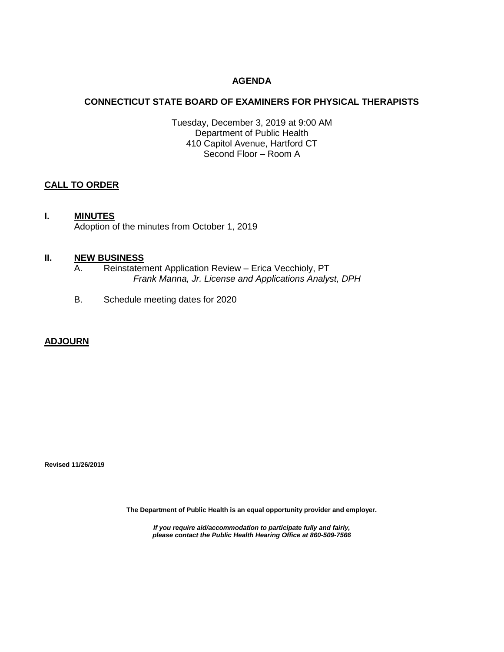# **AGENDA**

# **CONNECTICUT STATE BOARD OF EXAMINERS FOR PHYSICAL THERAPISTS**

Tuesday, December 3, 2019 at 9:00 AM Department of Public Health 410 Capitol Avenue, Hartford CT Second Floor – Room A

# **CALL TO ORDER**

# **I. MINUTES**

Adoption of the minutes from October 1, 2019

#### **II. NEW BUSINESS**

- A. Reinstatement Application Review Erica Vecchioly, PT *Frank Manna, Jr. License and Applications Analyst, DPH*
- B. Schedule meeting dates for 2020

### **ADJOURN**

**Revised 11/26/2019**

**The Department of Public Health is an equal opportunity provider and employer.**

*If you require aid/accommodation to participate fully and fairly, please contact the Public Health Hearing Office at 860-509-7566*